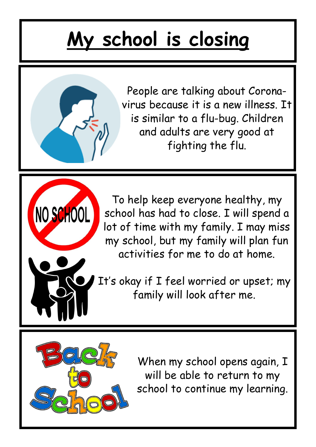## **My school is closing**



To help keep everyone healthy, my school has had to close. I will spend a lot of time with my family. I may miss my school, but my family will plan fun activities for me to do at home.

It's okay if I feel worried or upset; my family will look after me.



NO SCHOOL

When my school opens again, I will be able to return to my school to continue my learning.